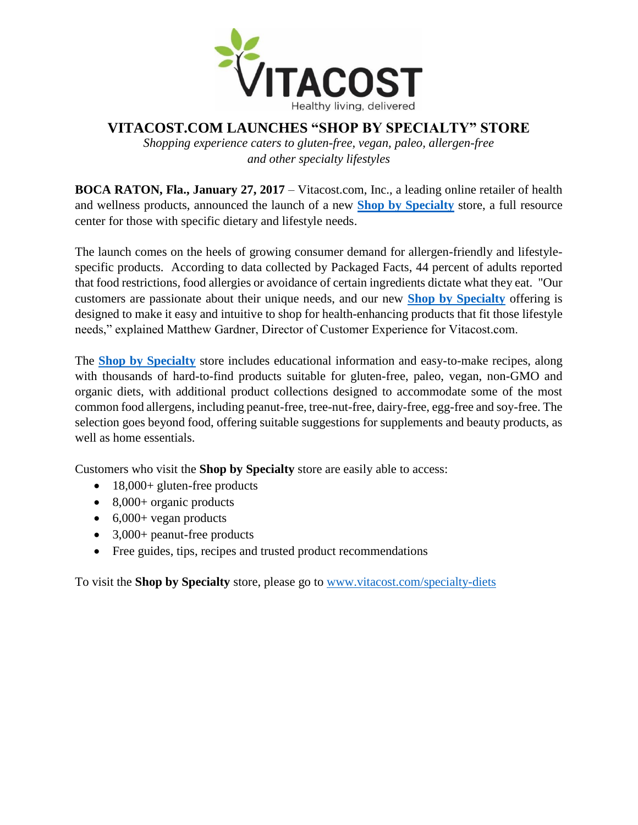

## **VITACOST.COM LAUNCHES "SHOP BY SPECIALTY" STORE**

*Shopping experience caters to gluten-free, vegan, paleo, allergen-free and other specialty lifestyles*

**BOCA RATON, Fla., January 27, 2017** – Vitacost.com, Inc., a leading online retailer of health and wellness products, announced the launch of a new **[Shop by Specialty](http://www.vitacost.com/specialty-diets)** store, a full resource center for those with specific dietary and lifestyle needs.

The launch comes on the heels of growing consumer demand for allergen-friendly and lifestylespecific products. According to data collected by Packaged Facts, 44 percent of adults reported that food restrictions, food allergies or avoidance of certain ingredients dictate what they eat. "Our customers are passionate about their unique needs, and our new **[Shop by Specialty](http://www.vitacost.com/specialty-diets)** offering is designed to make it easy and intuitive to shop for health-enhancing products that fit those lifestyle needs," explained Matthew Gardner, Director of Customer Experience for Vitacost.com.

The **[Shop by Specialty](http://www.vitacost.com/specialty-diets)** store includes educational information and easy-to-make recipes, along with thousands of hard-to-find products suitable for gluten-free, paleo, vegan, non-GMO and organic diets, with additional product collections designed to accommodate some of the most common food allergens, including peanut-free, tree-nut-free, dairy-free, egg-free and soy-free. The selection goes beyond food, offering suitable suggestions for supplements and beauty products, as well as home essentials.

Customers who visit the **Shop by Specialty** store are easily able to access:

- 18,000+ gluten-free products
- $\bullet$  8,000+ organic products
- $\bullet$  6,000+ vegan products
- 3,000+ peanut-free products
- Free guides, tips, recipes and trusted product recommendations

To visit the **Shop by Specialty** store, please go to [www.vitacost.com/specialty-diets](http://www.vitacost.com/specialty-diets)